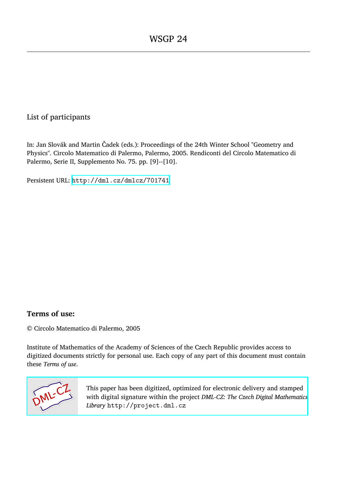## List of participants

In: Jan Slovák and Martin Čadek (eds.): Proceedings of the 24th Winter School "Geometry and Physics". Circolo Matematico di Palermo, Palermo, 2005. Rendiconti del Circolo Matematico di Palermo, Serie II, Supplemento No. 75. pp. [9]--[10].

Persistent URL: <http://dml.cz/dmlcz/701741>

## **Terms of use:**

© Circolo Matematico di Palermo, 2005

Institute of Mathematics of the Academy of Sciences of the Czech Republic provides access to digitized documents strictly for personal use. Each copy of any part of this document must contain these *Terms of use*.



[This paper has been digitized, optimized for electronic delivery and stamped](http://project.dml.cz) with digital signature within the project *DML-CZ: The Czech Digital Mathematics Library* http://project.dml.cz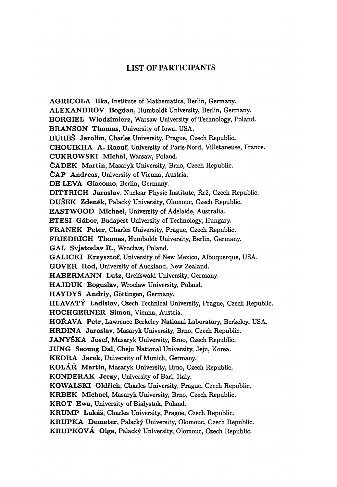## LIST O**F PAR**TICI**PAN**TS

**AGRICOLA** I**lka,** Institute of Mathematics, Berlin, Germany. **ALEXANDROV** Bogdan, Humboldt University, Berlin, Germany. **BORG**I**EL** W**lodzimierz,** Warsaw University of Technology, Poland. **BRANSON Thomas,** University of Iowa, USA. **BUREŠ Jarolím,** Charles University, Prague, Czech Republic. **CHOUIKHA A. Raouf,** University of Paris-Nord, Villetaneuse, France. **CUKRO**W**SK**I **Michal,** Warsaw, Poland. **ČADEK Martin,** Masaryk University, Brno, Czech Republic. **ČAP Andreas,** University of Vienna, Austria. **DE LEVA Giacomo,** Berlin, Germany. **D**I**TTRICH Jaroslav,** Nuclear Physic Institute, Řež, Czech Republic. **DUŠEK Zdeněk,** Palacký University, Olomouc, Czech Republic. **EAST**W**OOD Michael,** University of Adelaide, Australia. **ETES**I **Gábor,** Budapest University of Technology, Hungary. **FRANĚK Peter,** Charles University, Prague, Czech Republic. **FR**I**EDRICH Thomas,** Humboldt University, Berlin, Germany. **GAL Svjatoslav R.,** Wroclaw, Poland. **GAL**I**CKI Krzysztof,** University of New Mexico, Albuquerque, USA. **GOVER Rod,** University of Auckland, New Zealand. **HABERMANN Lutz,** Greifswald University, Germany. **HAJDUK B**o**guslav,** Wroclaw University, Poland. **HAYDYS Andriy,** Góttingen, Germany. **HLAVATÝ Ladislav,** Czech Technical University, Prague, Czech Republic. **HOCHGERNER Simon,** Vienna, Austria. **HOŘAVA Petr,** Lawrence Berkeley National Laboratory, Berkeley, USA. **HRD**I**NA Jaroslav,** Masaryk University, Brno, Czech Republic. **JANYŠKA Josef,** Masaryk University, Brno, Czech Republic. **JUNG Seoung Dal,** Cheju National University, Jeju, Korea. **KEDRA Jarek,** University of Munich, Germany. **KOLÁR Martin,** Masaryk University, Brno, Czech Republic. **KONDERAK Jerzy,** University of Bari, Italy. **KO**W**ALSK**I **Oldřich,** Charles University, Prague, Czech Republic. **KRBEK Michael,** Masaryk University, Brno, Czech Republic. **KROT Ewa,** University of Bialystok, Poland. **KRUMP Lukáš,** Charles University, Prague, Czech Republic. **KRUPKA Demeter,** Palacký University, Olomouc, Czech Republic. **KRUPKOVÁ Olga,** Palacký University, Olomouc, Czech Republic.